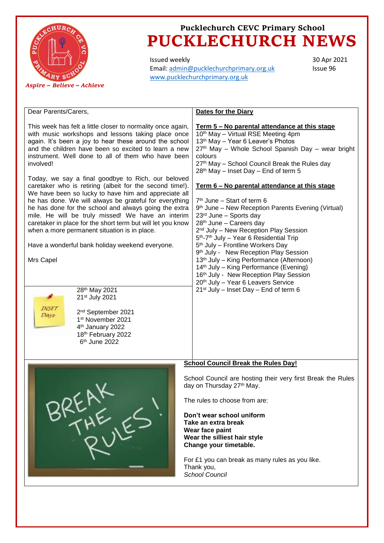

## **Pucklechurch CEVC Primary School PUCKLECHURCH NEWS**

Issued weekly Email: [admin@pucklechurchprimary.org.uk](mailto:admin@pucklechurchprimary.org.uk) [www.pucklechurchprimary.org.uk](http://www.pucklechurchprimary.org.uk/)

30 Apr 2021 Issue 96

| Dear Parents/Carers,                                                                                                                                                                                                                                                                                                                                                                                                                                                                                                                                                                                                                                                                                                                                                                                                                                                                                                                                                                                                                         | <b>Dates for the Diary</b>                                                                                                                                                                                                                                                                                                                                                                                                                                                                                                                                                                                                                                                                                                                                                                                                                                                                                                                                                                                           |
|----------------------------------------------------------------------------------------------------------------------------------------------------------------------------------------------------------------------------------------------------------------------------------------------------------------------------------------------------------------------------------------------------------------------------------------------------------------------------------------------------------------------------------------------------------------------------------------------------------------------------------------------------------------------------------------------------------------------------------------------------------------------------------------------------------------------------------------------------------------------------------------------------------------------------------------------------------------------------------------------------------------------------------------------|----------------------------------------------------------------------------------------------------------------------------------------------------------------------------------------------------------------------------------------------------------------------------------------------------------------------------------------------------------------------------------------------------------------------------------------------------------------------------------------------------------------------------------------------------------------------------------------------------------------------------------------------------------------------------------------------------------------------------------------------------------------------------------------------------------------------------------------------------------------------------------------------------------------------------------------------------------------------------------------------------------------------|
| This week has felt a little closer to normality once again,<br>with music workshops and lessons taking place once<br>again. It's been a joy to hear these around the school<br>and the children have been so excited to learn a new<br>instrument. Well done to all of them who have been<br>involved!<br>Today, we say a final goodbye to Rich, our beloved<br>caretaker who is retiring (albeit for the second time!).<br>We have been so lucky to have him and appreciate all<br>he has done. We will always be grateful for everything<br>he has done for the school and always going the extra<br>mile. He will be truly missed! We have an interim<br>caretaker in place for the short term but will let you know<br>when a more permanent situation is in place.<br>Have a wonderful bank holiday weekend everyone.<br>Mrs Capel<br>28th May 2021<br>21st July 2021<br><i>INSET</i><br>2 <sup>nd</sup> September 2021<br>Days<br>1st November 2021<br>4 <sup>th</sup> January 2022<br>18th February 2022<br>6 <sup>th</sup> June 2022 | <u>Term 5 – No parental attendance at this stage</u><br>10th May - Virtual RSE Meeting 4pm<br>13 <sup>th</sup> May - Year 6 Leaver's Photos<br>27th May - Whole School Spanish Day - wear bright<br>colours<br>27th May - School Council Break the Rules day<br>28 <sup>th</sup> May - Inset Day - End of term 5<br>Term 6 – No parental attendance at this stage<br>$7th$ June – Start of term 6<br>9 <sup>th</sup> June – New Reception Parents Evening (Virtual)<br>23rd June - Sports day<br>28 <sup>th</sup> June - Careers day<br>2 <sup>nd</sup> July - New Reception Play Session<br>5 <sup>th</sup> -7 <sup>th</sup> July - Year 6 Residential Trip<br>5 <sup>th</sup> July - Frontline Workers Day<br>9 <sup>th</sup> July - New Reception Play Session<br>13 <sup>th</sup> July - King Performance (Afternoon)<br>14 <sup>th</sup> July – King Performance (Evening)<br>16th July - New Reception Play Session<br>20th July - Year 6 Leavers Service<br>21 <sup>st</sup> July - Inset Day - End of term 6 |
|                                                                                                                                                                                                                                                                                                                                                                                                                                                                                                                                                                                                                                                                                                                                                                                                                                                                                                                                                                                                                                              |                                                                                                                                                                                                                                                                                                                                                                                                                                                                                                                                                                                                                                                                                                                                                                                                                                                                                                                                                                                                                      |
|                                                                                                                                                                                                                                                                                                                                                                                                                                                                                                                                                                                                                                                                                                                                                                                                                                                                                                                                                                                                                                              | <b>School Council Break the Rules Day!</b>                                                                                                                                                                                                                                                                                                                                                                                                                                                                                                                                                                                                                                                                                                                                                                                                                                                                                                                                                                           |
|                                                                                                                                                                                                                                                                                                                                                                                                                                                                                                                                                                                                                                                                                                                                                                                                                                                                                                                                                                                                                                              | School Council are hosting their very first Break the Rules<br>day on Thursday 27 <sup>th</sup> May.<br>The rules to choose from are:<br>Don't wear school uniform<br>Take an extra break<br>Wear face paint<br>Wear the silliest hair style<br>Change your timetable.<br>For £1 you can break as many rules as you like.<br>Thank you,<br><b>School Council</b>                                                                                                                                                                                                                                                                                                                                                                                                                                                                                                                                                                                                                                                     |